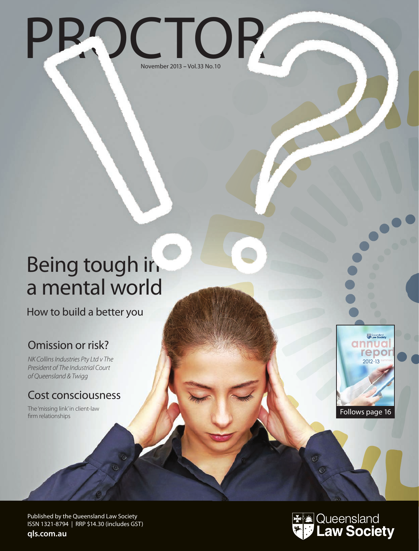

## Being tough in a mental world

How to build a better you

## Omission or risk?

*NK Collins Industries Pty Ltd v The President of The Industrial Court of Queensland & Twigg*

### Cost consciousness

The 'missing link' in client-law firm relationships



Published by the Queensland Law Society ISSN 1321-8794 | RRP \$14.30 (includes GST)

**qls.com.au**

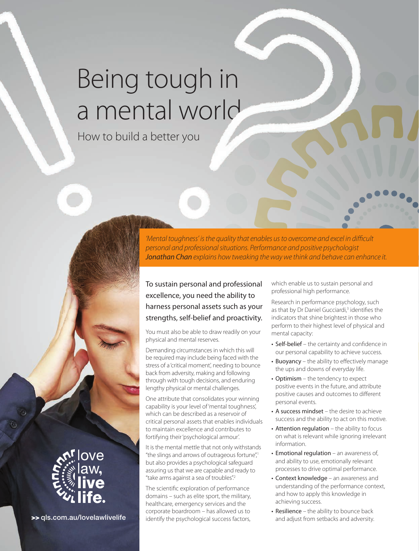# Being tough in a mental world

How to build a better you

*'Mental toughness' is the quality that enables us to overcome and excel in difficult personal and professional situations. Performance and positive psychologist Jonathan Chan explains how tweaking the way we think and behave can enhance it.*

To sustain personal and professional excellence, you need the ability to harness personal assets such as your strengths, self-belief and proactivity.

You must also be able to draw readily on your physical and mental reserves.

Demanding circumstances in which this will be required may include being faced with the stress of a 'critical moment', needing to bounce back from adversity, making and following through with tough decisions, and enduring lengthy physical or mental challenges.

One attribute that consolidates your winning capability is your level of 'mental toughness', which can be described as a reservoir of critical personal assets that enables individuals to maintain excellence and contributes to fortifying their 'psychological armour'.

It is the mental mettle that not only withstands "the slings and arrows of outrageous fortune",<sup>1</sup> but also provides a psychological safeguard assuring us that we are capable and ready to "take arms against a sea of troubles".2

The scientific exploration of performance domains – such as elite sport, the military, healthcare, emergency services and the corporate boardroom – has allowed us to >> qls.com.au/lovelawlivelife identify the psychological success factors, which enable us to sustain personal and professional high performance.

Research in performance psychology, such as that by Dr Daniel Gucciardi,<sup>3</sup> identifies the indicators that shine brightest in those who perform to their highest level of physical and mental capacity:

- Self-belief the certainty and confidence in our personal capability to achieve success*.*
- Buoyancy the ability to effectively manage the ups and downs of everyday life.
- Optimism the tendency to expect positive events in the future, and attribute positive causes and outcomes to different personal events.
- A success mindset the desire to achieve success and the ability to act on this motive.
- Attention regulation the ability to focus on what is relevant while ignoring irrelevant information.
- Emotional regulation an awareness of, and ability to use, emotionally relevant processes to drive optimal performance.
- Context knowledge an awareness and understanding of the performance context, and how to apply this knowledge in achieving success.
- $\cdot$  Resilience the ability to bounce back and adjust from setbacks and adversity.